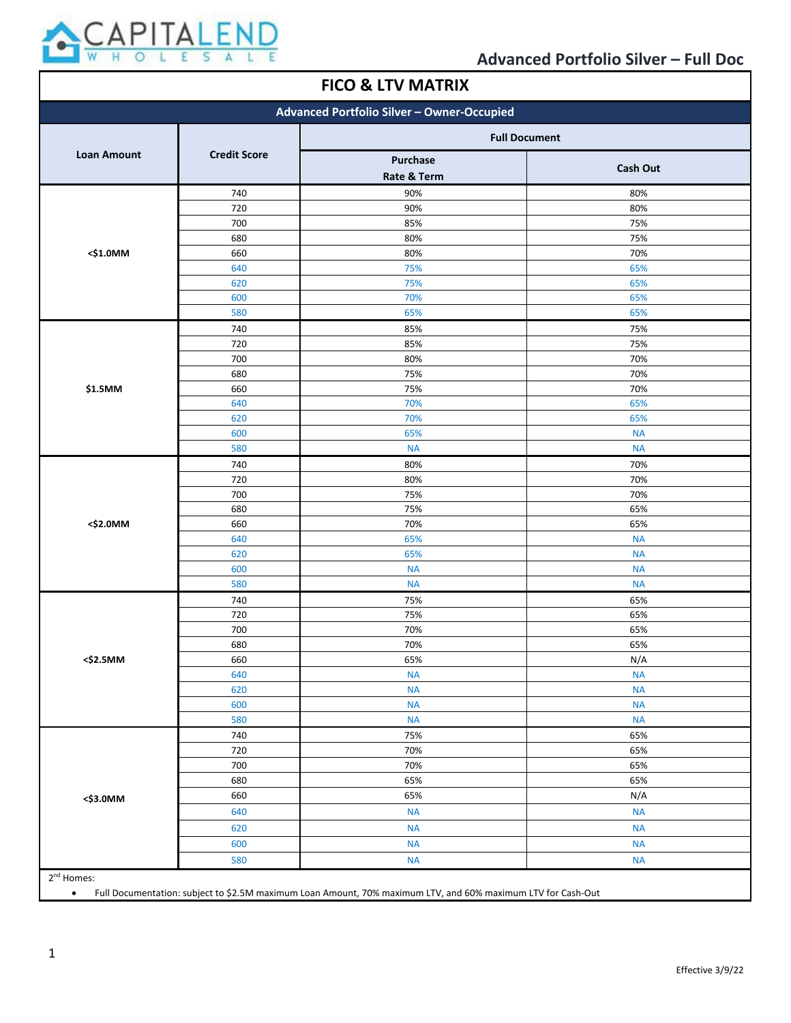

#### **FICO & LTV MATRIX Advanced Portfolio Silver – Owner-Occupied Loan Amount Credit Score Full Document Purchase Rate & Term Cash Out <\$1.0MM** 90% 80% 90% 80% 85% 75% 80% 75% 80% 70% 75% 65% 75% 65% 70% 65% 65% 65% **\$1.5MM** 85% 75% 85% 75% 80% 70% 75% 70% 75% 70% 70% 65% 70% 65% 65% NA NA NA **<\$2.0MM** 80% 70% 80% 70% 75% 70% 75% 65% 70% 65% 65% NA 65% NA NA NA NA NA **<\$2.5MM** 75% 65% 75% 65% 70% 65% 70% 65% 65% N/A NA NA NA NA NA NA NA NA **<\$3.0MM** 75% 65% 70% 65% 70% 65% 65% 65% 65% N/A NA NA NA NA NA NA NA NA 2<sup>nd</sup> Homes:

• Full Documentation: subject to \$2.5M maximum Loan Amount, 70% maximum LTV, and 60% maximum LTV for Cash-Out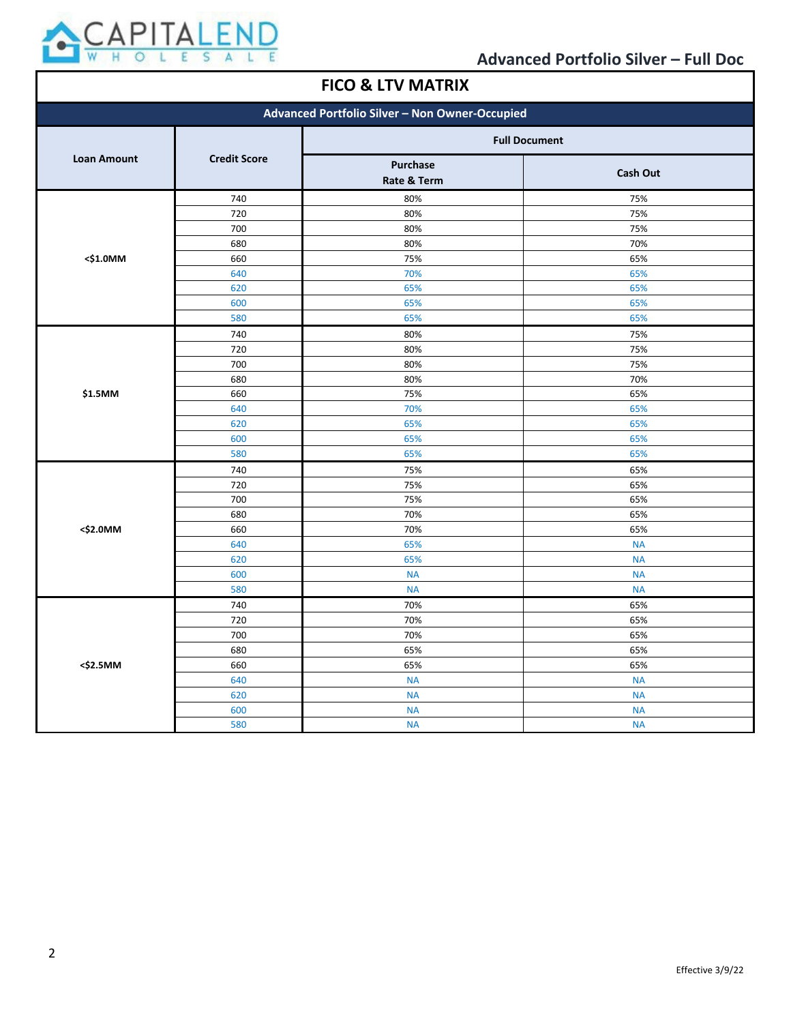

 $\mathsf \Gamma$ 

| <b>FICO &amp; LTV MATRIX</b>                   |                     |                         |                 |
|------------------------------------------------|---------------------|-------------------------|-----------------|
| Advanced Portfolio Silver - Non Owner-Occupied |                     |                         |                 |
| <b>Loan Amount</b>                             | <b>Credit Score</b> | <b>Full Document</b>    |                 |
|                                                |                     | Purchase<br>Rate & Term | <b>Cash Out</b> |
|                                                | 740                 | 80%                     | 75%             |
|                                                | 720                 | 80%                     | 75%             |
|                                                | 700                 | 80%                     | 75%             |
|                                                | 680                 | 80%                     | 70%             |
| <\$1.0MM                                       | 660                 | 75%                     | 65%             |
|                                                | 640                 | 70%                     | 65%             |
|                                                | 620                 | 65%                     | 65%             |
|                                                | 600                 | 65%                     | 65%             |
|                                                | 580                 | 65%                     | 65%             |
|                                                | 740                 | 80%                     | 75%             |
|                                                | 720                 | 80%                     | 75%             |
|                                                | 700                 | 80%                     | 75%             |
|                                                | 680                 | 80%                     | 70%             |
| \$1.5MM                                        | 660                 | 75%                     | 65%             |
|                                                | 640                 | 70%                     | 65%             |
|                                                | 620                 | 65%                     | 65%             |
|                                                | 600                 | 65%                     | 65%             |
|                                                | 580                 | 65%                     | 65%             |
|                                                | 740                 | 75%                     | 65%             |
|                                                | 720                 | 75%                     | 65%             |
|                                                | 700                 | 75%                     | 65%             |
|                                                | 680                 | 70%                     | 65%             |
| <\$2.0MM                                       | 660                 | 70%                     | 65%             |
|                                                | 640                 | 65%                     | <b>NA</b>       |
|                                                | 620                 | 65%                     | <b>NA</b>       |
|                                                | 600                 | <b>NA</b>               | <b>NA</b>       |
|                                                | 580                 | <b>NA</b>               | <b>NA</b>       |
|                                                | 740                 | 70%                     | 65%             |
|                                                | 720                 | 70%                     | 65%             |
|                                                | 700                 | 70%                     | 65%             |
|                                                | 680                 | 65%                     | 65%             |
| <\$2.5MM                                       | 660                 | 65%                     | 65%             |
|                                                | 640                 | <b>NA</b>               | <b>NA</b>       |
|                                                | 620                 | <b>NA</b>               | <b>NA</b>       |
|                                                | 600                 | <b>NA</b>               | <b>NA</b>       |
|                                                | 580                 | <b>NA</b>               | <b>NA</b>       |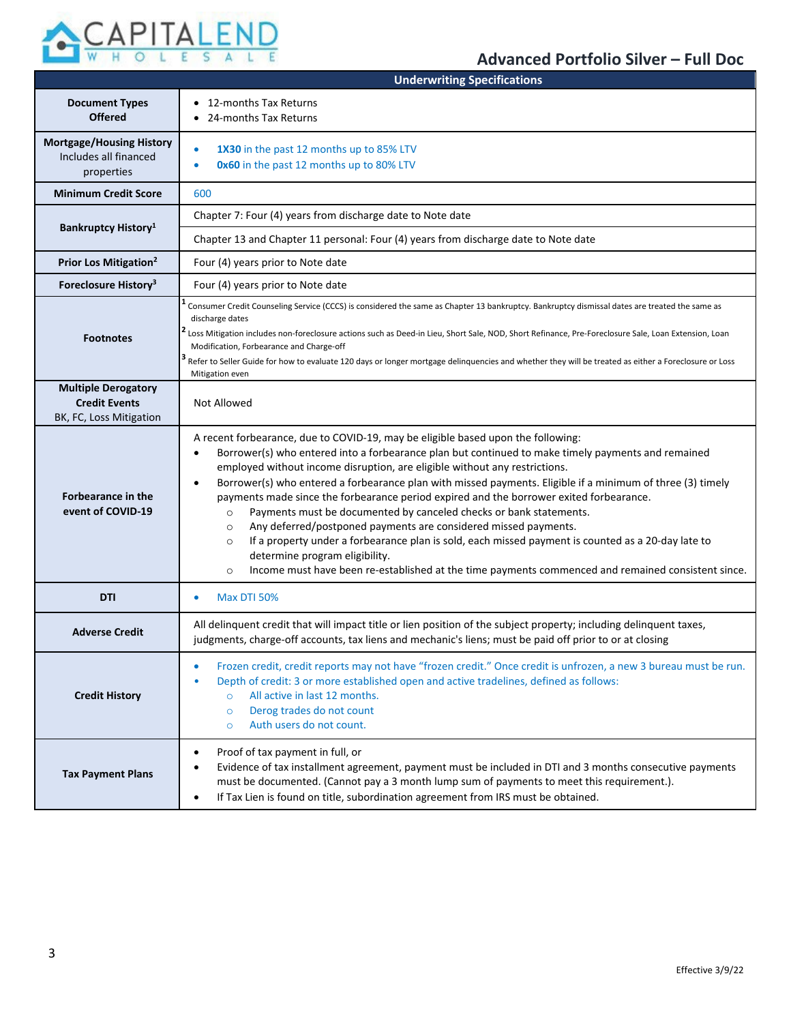

|                                                                        | <b>Underwriting Specifications</b>                                                                                                                                                                                                                                                                                                                                                                                                                                                                                                                                                                                                                                                                                                                                                                                                                                                                                                         |  |  |
|------------------------------------------------------------------------|--------------------------------------------------------------------------------------------------------------------------------------------------------------------------------------------------------------------------------------------------------------------------------------------------------------------------------------------------------------------------------------------------------------------------------------------------------------------------------------------------------------------------------------------------------------------------------------------------------------------------------------------------------------------------------------------------------------------------------------------------------------------------------------------------------------------------------------------------------------------------------------------------------------------------------------------|--|--|
| <b>Document Types</b><br><b>Offered</b>                                | • 12-months Tax Returns<br>• 24-months Tax Returns                                                                                                                                                                                                                                                                                                                                                                                                                                                                                                                                                                                                                                                                                                                                                                                                                                                                                         |  |  |
| <b>Mortgage/Housing History</b><br>Includes all financed<br>properties | 1X30 in the past 12 months up to 85% LTV<br>$\bullet$<br>0x60 in the past 12 months up to 80% LTV<br>٠                                                                                                                                                                                                                                                                                                                                                                                                                                                                                                                                                                                                                                                                                                                                                                                                                                     |  |  |
| <b>Minimum Credit Score</b>                                            | 600                                                                                                                                                                                                                                                                                                                                                                                                                                                                                                                                                                                                                                                                                                                                                                                                                                                                                                                                        |  |  |
|                                                                        | Chapter 7: Four (4) years from discharge date to Note date                                                                                                                                                                                                                                                                                                                                                                                                                                                                                                                                                                                                                                                                                                                                                                                                                                                                                 |  |  |
| <b>Bankruptcy History</b> <sup>1</sup>                                 | Chapter 13 and Chapter 11 personal: Four (4) years from discharge date to Note date                                                                                                                                                                                                                                                                                                                                                                                                                                                                                                                                                                                                                                                                                                                                                                                                                                                        |  |  |
| Prior Los Mitigation <sup>2</sup>                                      | Four (4) years prior to Note date                                                                                                                                                                                                                                                                                                                                                                                                                                                                                                                                                                                                                                                                                                                                                                                                                                                                                                          |  |  |
| Foreclosure History <sup>3</sup>                                       | Four (4) years prior to Note date                                                                                                                                                                                                                                                                                                                                                                                                                                                                                                                                                                                                                                                                                                                                                                                                                                                                                                          |  |  |
|                                                                        | Consumer Credit Counseling Service (CCCS) is considered the same as Chapter 13 bankruptcy. Bankruptcy dismissal dates are treated the same as<br>discharge dates                                                                                                                                                                                                                                                                                                                                                                                                                                                                                                                                                                                                                                                                                                                                                                           |  |  |
| <b>Footnotes</b>                                                       | Loss Mitigation includes non-foreclosure actions such as Deed-in Lieu, Short Sale, NOD, Short Refinance, Pre-Foreclosure Sale, Loan Extension, Loan<br>Modification, Forbearance and Charge-off                                                                                                                                                                                                                                                                                                                                                                                                                                                                                                                                                                                                                                                                                                                                            |  |  |
|                                                                        | <sup>3</sup> Refer to Seller Guide for how to evaluate 120 days or longer mortgage delinquencies and whether they will be treated as either a Foreclosure or Loss<br>Mitigation even                                                                                                                                                                                                                                                                                                                                                                                                                                                                                                                                                                                                                                                                                                                                                       |  |  |
| <b>Multiple Derogatory</b><br><b>Credit Events</b>                     | Not Allowed                                                                                                                                                                                                                                                                                                                                                                                                                                                                                                                                                                                                                                                                                                                                                                                                                                                                                                                                |  |  |
| BK, FC, Loss Mitigation                                                |                                                                                                                                                                                                                                                                                                                                                                                                                                                                                                                                                                                                                                                                                                                                                                                                                                                                                                                                            |  |  |
| <b>Forbearance in the</b><br>event of COVID-19                         | A recent forbearance, due to COVID-19, may be eligible based upon the following:<br>Borrower(s) who entered into a forbearance plan but continued to make timely payments and remained<br>$\bullet$<br>employed without income disruption, are eligible without any restrictions.<br>Borrower(s) who entered a forbearance plan with missed payments. Eligible if a minimum of three (3) timely<br>$\bullet$<br>payments made since the forbearance period expired and the borrower exited forbearance.<br>Payments must be documented by canceled checks or bank statements.<br>$\circ$<br>Any deferred/postponed payments are considered missed payments.<br>$\circ$<br>If a property under a forbearance plan is sold, each missed payment is counted as a 20-day late to<br>$\circ$<br>determine program eligibility.<br>Income must have been re-established at the time payments commenced and remained consistent since.<br>$\circ$ |  |  |
| <b>DTI</b>                                                             | <b>Max DTI 50%</b><br>$\bullet$                                                                                                                                                                                                                                                                                                                                                                                                                                                                                                                                                                                                                                                                                                                                                                                                                                                                                                            |  |  |
| <b>Adverse Credit</b>                                                  | All delinquent credit that will impact title or lien position of the subject property; including delinquent taxes,<br>judgments, charge-off accounts, tax liens and mechanic's liens; must be paid off prior to or at closing                                                                                                                                                                                                                                                                                                                                                                                                                                                                                                                                                                                                                                                                                                              |  |  |
| <b>Credit History</b>                                                  | Frozen credit, credit reports may not have "frozen credit." Once credit is unfrozen, a new 3 bureau must be run.<br>٠<br>Depth of credit: 3 or more established open and active tradelines, defined as follows:<br>All active in last 12 months.<br>$\circ$<br>Derog trades do not count<br>$\circ$<br>Auth users do not count.<br>$\circ$                                                                                                                                                                                                                                                                                                                                                                                                                                                                                                                                                                                                 |  |  |
| <b>Tax Payment Plans</b>                                               | Proof of tax payment in full, or<br>$\bullet$<br>Evidence of tax installment agreement, payment must be included in DTI and 3 months consecutive payments<br>must be documented. (Cannot pay a 3 month lump sum of payments to meet this requirement.).<br>If Tax Lien is found on title, subordination agreement from IRS must be obtained.<br>$\bullet$                                                                                                                                                                                                                                                                                                                                                                                                                                                                                                                                                                                  |  |  |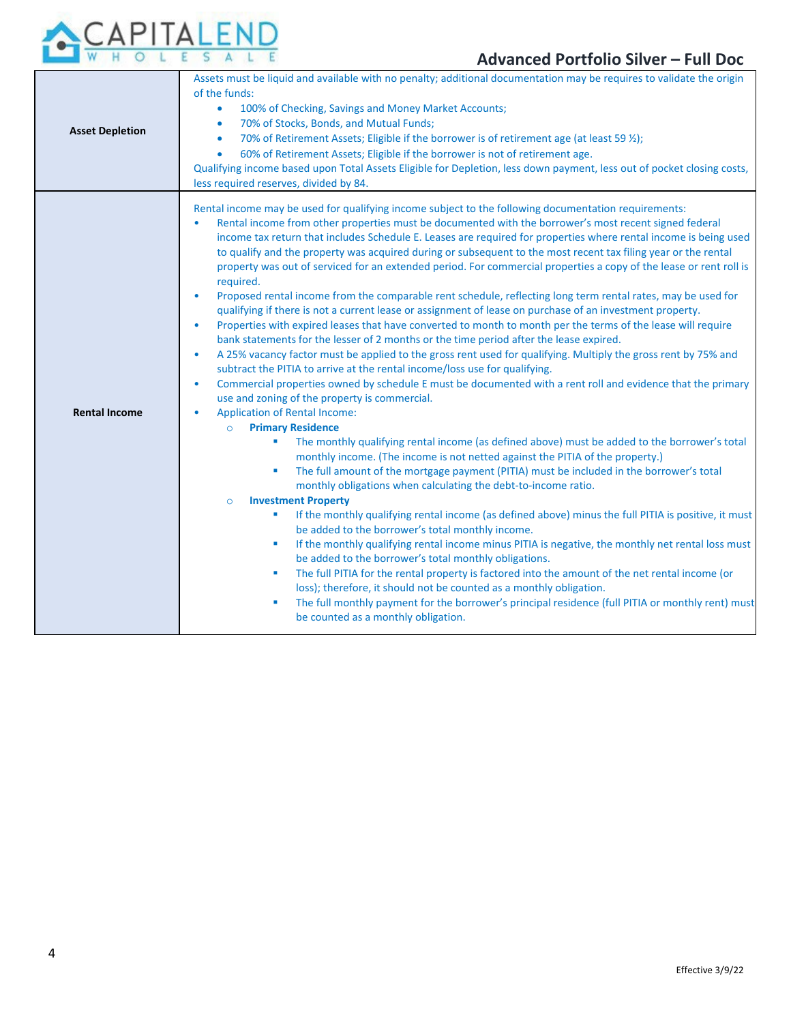

| <b>Asset Depletion</b> | Assets must be liquid and available with no penalty; additional documentation may be requires to validate the origin<br>of the funds:<br>100% of Checking, Savings and Money Market Accounts;<br>$\bullet$<br>70% of Stocks, Bonds, and Mutual Funds;<br>۰<br>70% of Retirement Assets; Eligible if the borrower is of retirement age (at least 59 %);<br>$\bullet$<br>60% of Retirement Assets; Eligible if the borrower is not of retirement age.<br>$\bullet$<br>Qualifying income based upon Total Assets Eligible for Depletion, less down payment, less out of pocket closing costs,<br>less required reserves, divided by 84.                                                                                                                                                                                                                                                                                                                                                                                                                                                                                                                                                                                                                                                                                                                                                                                                                                                                                                                                                                                                                                                                                                                                                                                                                                                                                                                                                                                                                                                                                                                                                                                                                                                                                                                                                                                                                                                                                                                                                                                             |  |  |
|------------------------|----------------------------------------------------------------------------------------------------------------------------------------------------------------------------------------------------------------------------------------------------------------------------------------------------------------------------------------------------------------------------------------------------------------------------------------------------------------------------------------------------------------------------------------------------------------------------------------------------------------------------------------------------------------------------------------------------------------------------------------------------------------------------------------------------------------------------------------------------------------------------------------------------------------------------------------------------------------------------------------------------------------------------------------------------------------------------------------------------------------------------------------------------------------------------------------------------------------------------------------------------------------------------------------------------------------------------------------------------------------------------------------------------------------------------------------------------------------------------------------------------------------------------------------------------------------------------------------------------------------------------------------------------------------------------------------------------------------------------------------------------------------------------------------------------------------------------------------------------------------------------------------------------------------------------------------------------------------------------------------------------------------------------------------------------------------------------------------------------------------------------------------------------------------------------------------------------------------------------------------------------------------------------------------------------------------------------------------------------------------------------------------------------------------------------------------------------------------------------------------------------------------------------------------------------------------------------------------------------------------------------------|--|--|
| <b>Rental Income</b>   | Rental income may be used for qualifying income subject to the following documentation requirements:<br>Rental income from other properties must be documented with the borrower's most recent signed federal<br>$\bullet$<br>income tax return that includes Schedule E. Leases are required for properties where rental income is being used<br>to qualify and the property was acquired during or subsequent to the most recent tax filing year or the rental<br>property was out of serviced for an extended period. For commercial properties a copy of the lease or rent roll is<br>required.<br>Proposed rental income from the comparable rent schedule, reflecting long term rental rates, may be used for<br>$\bullet$<br>qualifying if there is not a current lease or assignment of lease on purchase of an investment property.<br>Properties with expired leases that have converted to month to month per the terms of the lease will require<br>$\bullet$<br>bank statements for the lesser of 2 months or the time period after the lease expired.<br>A 25% vacancy factor must be applied to the gross rent used for qualifying. Multiply the gross rent by 75% and<br>$\bullet$<br>subtract the PITIA to arrive at the rental income/loss use for qualifying.<br>Commercial properties owned by schedule E must be documented with a rent roll and evidence that the primary<br>$\bullet$<br>use and zoning of the property is commercial.<br><b>Application of Rental Income:</b><br>$\bullet$<br><b>Primary Residence</b><br>$\circ$<br>The monthly qualifying rental income (as defined above) must be added to the borrower's total<br>×<br>monthly income. (The income is not netted against the PITIA of the property.)<br>The full amount of the mortgage payment (PITIA) must be included in the borrower's total<br>×<br>monthly obligations when calculating the debt-to-income ratio.<br><b>Investment Property</b><br>$\circ$<br>If the monthly qualifying rental income (as defined above) minus the full PITIA is positive, it must<br>×<br>be added to the borrower's total monthly income.<br>If the monthly qualifying rental income minus PITIA is negative, the monthly net rental loss must<br>п<br>be added to the borrower's total monthly obligations.<br>The full PITIA for the rental property is factored into the amount of the net rental income (or<br>٠<br>loss); therefore, it should not be counted as a monthly obligation.<br>The full monthly payment for the borrower's principal residence (full PITIA or monthly rent) must<br>×<br>be counted as a monthly obligation. |  |  |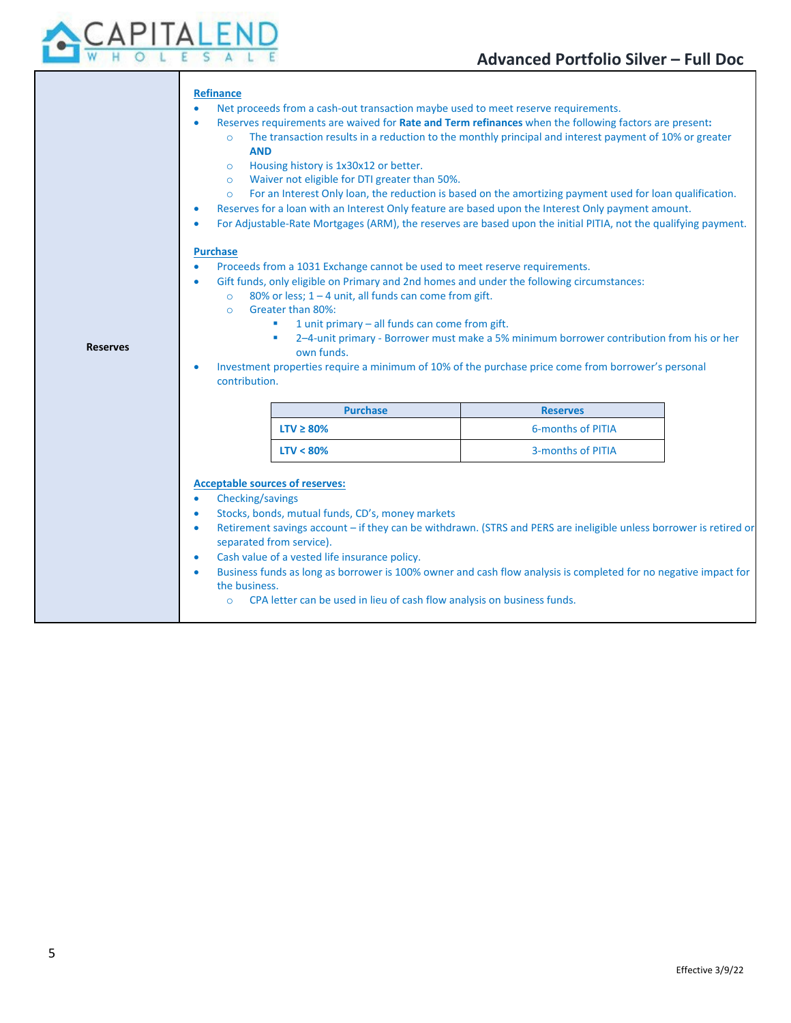

|                                                                                                                     |                                                                                                                                                                       | <b>Refinance</b>                                                                                                                                                                                                                           |                                                                                                                    |  |  |
|---------------------------------------------------------------------------------------------------------------------|-----------------------------------------------------------------------------------------------------------------------------------------------------------------------|--------------------------------------------------------------------------------------------------------------------------------------------------------------------------------------------------------------------------------------------|--------------------------------------------------------------------------------------------------------------------|--|--|
|                                                                                                                     |                                                                                                                                                                       | Net proceeds from a cash-out transaction maybe used to meet reserve requirements.<br>$\bullet$                                                                                                                                             |                                                                                                                    |  |  |
|                                                                                                                     |                                                                                                                                                                       | Reserves requirements are waived for Rate and Term refinances when the following factors are present:<br>$\bullet$<br>The transaction results in a reduction to the monthly principal and interest payment of 10% or greater<br><b>AND</b> |                                                                                                                    |  |  |
|                                                                                                                     | $\circ$                                                                                                                                                               | Housing history is 1x30x12 or better.                                                                                                                                                                                                      |                                                                                                                    |  |  |
|                                                                                                                     |                                                                                                                                                                       | Waiver not eligible for DTI greater than 50%.<br>$\circ$                                                                                                                                                                                   |                                                                                                                    |  |  |
| For an Interest Only loan, the reduction is based on the amortizing payment used for loan qualification.<br>$\circ$ |                                                                                                                                                                       |                                                                                                                                                                                                                                            |                                                                                                                    |  |  |
|                                                                                                                     | ۰                                                                                                                                                                     | Reserves for a loan with an Interest Only feature are based upon the Interest Only payment amount.<br>۰<br>For Adjustable-Rate Mortgages (ARM), the reserves are based upon the initial PITIA, not the qualifying payment.                 |                                                                                                                    |  |  |
|                                                                                                                     | <b>Purchase</b>                                                                                                                                                       |                                                                                                                                                                                                                                            |                                                                                                                    |  |  |
|                                                                                                                     |                                                                                                                                                                       | Proceeds from a 1031 Exchange cannot be used to meet reserve requirements.                                                                                                                                                                 |                                                                                                                    |  |  |
|                                                                                                                     | Gift funds, only eligible on Primary and 2nd homes and under the following circumstances:<br>۰<br>80% or less; $1 - 4$ unit, all funds can come from gift.<br>$\circ$ |                                                                                                                                                                                                                                            |                                                                                                                    |  |  |
|                                                                                                                     |                                                                                                                                                                       |                                                                                                                                                                                                                                            |                                                                                                                    |  |  |
| Greater than 80%:<br>$\Omega$                                                                                       |                                                                                                                                                                       |                                                                                                                                                                                                                                            |                                                                                                                    |  |  |
|                                                                                                                     | 1 unit primary - all funds can come from gift.<br>2-4-unit primary - Borrower must make a 5% minimum borrower contribution from his or her<br>a.                      |                                                                                                                                                                                                                                            |                                                                                                                    |  |  |
| <b>Reserves</b>                                                                                                     |                                                                                                                                                                       | own funds.                                                                                                                                                                                                                                 |                                                                                                                    |  |  |
|                                                                                                                     | Investment properties require a minimum of 10% of the purchase price come from borrower's personal<br>۰                                                               |                                                                                                                                                                                                                                            |                                                                                                                    |  |  |
|                                                                                                                     | contribution.                                                                                                                                                         |                                                                                                                                                                                                                                            |                                                                                                                    |  |  |
|                                                                                                                     |                                                                                                                                                                       |                                                                                                                                                                                                                                            |                                                                                                                    |  |  |
|                                                                                                                     |                                                                                                                                                                       |                                                                                                                                                                                                                                            | <b>Reserves</b>                                                                                                    |  |  |
|                                                                                                                     |                                                                                                                                                                       | <b>Purchase</b>                                                                                                                                                                                                                            |                                                                                                                    |  |  |
|                                                                                                                     |                                                                                                                                                                       | $LTV \geq 80\%$                                                                                                                                                                                                                            | 6-months of PITIA                                                                                                  |  |  |
|                                                                                                                     |                                                                                                                                                                       | $LTV < 80\%$                                                                                                                                                                                                                               | 3-months of PITIA                                                                                                  |  |  |
|                                                                                                                     |                                                                                                                                                                       |                                                                                                                                                                                                                                            |                                                                                                                    |  |  |
|                                                                                                                     | ۰                                                                                                                                                                     | <b>Acceptable sources of reserves:</b>                                                                                                                                                                                                     |                                                                                                                    |  |  |
|                                                                                                                     | Checking/savings<br>$\bullet$                                                                                                                                         | Stocks, bonds, mutual funds, CD's, money markets                                                                                                                                                                                           |                                                                                                                    |  |  |
|                                                                                                                     | $\bullet$                                                                                                                                                             |                                                                                                                                                                                                                                            | Retirement savings account - if they can be withdrawn. (STRS and PERS are ineligible unless borrower is retired or |  |  |
|                                                                                                                     |                                                                                                                                                                       | separated from service).                                                                                                                                                                                                                   |                                                                                                                    |  |  |
|                                                                                                                     | $\bullet$                                                                                                                                                             | Cash value of a vested life insurance policy.                                                                                                                                                                                              |                                                                                                                    |  |  |
|                                                                                                                     | $\bullet$                                                                                                                                                             |                                                                                                                                                                                                                                            | Business funds as long as borrower is 100% owner and cash flow analysis is completed for no negative impact for    |  |  |
|                                                                                                                     | the business.                                                                                                                                                         |                                                                                                                                                                                                                                            |                                                                                                                    |  |  |
|                                                                                                                     | $\circ$                                                                                                                                                               | CPA letter can be used in lieu of cash flow analysis on business funds.                                                                                                                                                                    |                                                                                                                    |  |  |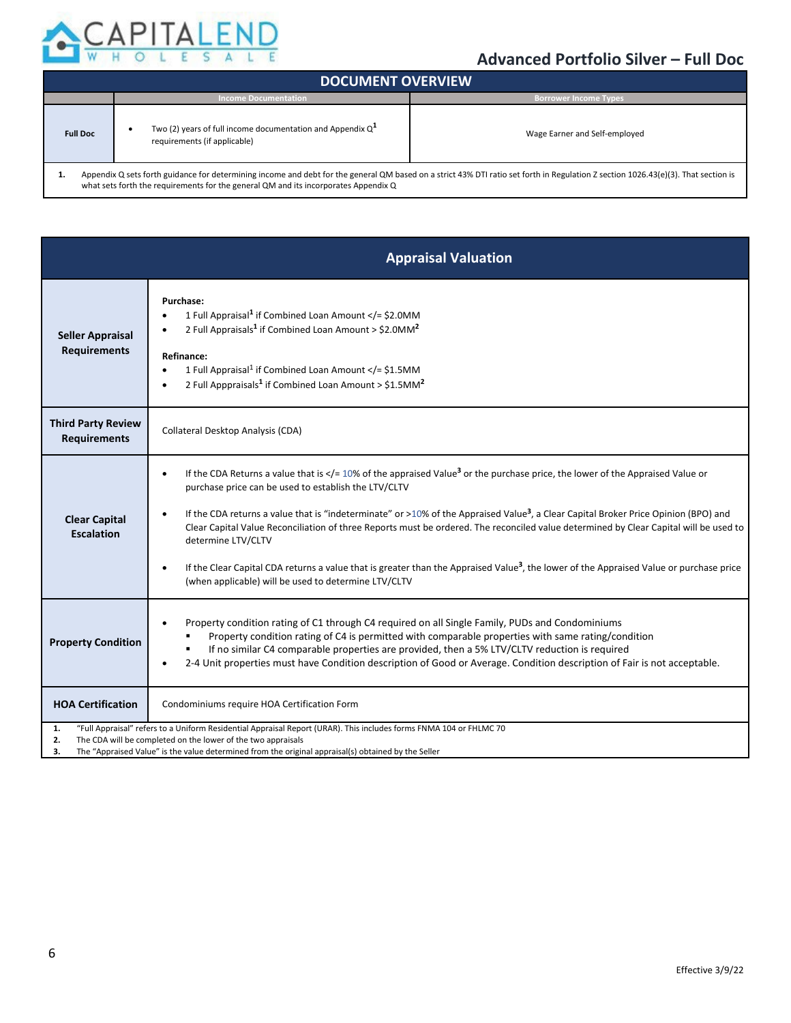

| <b>DOCUMENT OVERVIEW</b>                                                                                                                                                           |                                                                                               |                               |  |
|------------------------------------------------------------------------------------------------------------------------------------------------------------------------------------|-----------------------------------------------------------------------------------------------|-------------------------------|--|
|                                                                                                                                                                                    | <b>Income Documentation</b>                                                                   | <b>Borrower Income Types</b>  |  |
| <b>Full Doc</b>                                                                                                                                                                    | Two (2) years of full income documentation and Appendix $Q^1$<br>requirements (if applicable) | Wage Earner and Self-employed |  |
| Appendix Q sets forth guidance for determining income and debt for the general QM based on a strict 43% DTI ratio set forth in Regulation Z section 1026.43(e)(3). That section is |                                                                                               |                               |  |

what sets forth the requirements for the general QM and its incorporates Appendix Q

|                                                  | <b>Appraisal Valuation</b>                                                                                                                                                                                                                                                                                                                                                                                                                                                                                                                                                                                                                                                                                                             |
|--------------------------------------------------|----------------------------------------------------------------------------------------------------------------------------------------------------------------------------------------------------------------------------------------------------------------------------------------------------------------------------------------------------------------------------------------------------------------------------------------------------------------------------------------------------------------------------------------------------------------------------------------------------------------------------------------------------------------------------------------------------------------------------------------|
| <b>Seller Appraisal</b><br><b>Requirements</b>   | Purchase:<br>1 Full Appraisal <sup>1</sup> if Combined Loan Amount = \$2.0MM<br 2 Full Appraisals <sup>1</sup> if Combined Loan Amount > \$2.0MM <sup>2</sup><br>Refinance:<br>1 Full Appraisal <sup>1</sup> if Combined Loan Amount = \$1.5MM<br $\bullet$<br>2 Full Apppraisals <sup>1</sup> if Combined Loan Amount > \$1.5MM <sup>2</sup>                                                                                                                                                                                                                                                                                                                                                                                          |
| <b>Third Party Review</b><br><b>Requirements</b> | Collateral Desktop Analysis (CDA)                                                                                                                                                                                                                                                                                                                                                                                                                                                                                                                                                                                                                                                                                                      |
| <b>Clear Capital</b><br><b>Escalation</b>        | If the CDA Returns a value that is $\lt/=10\%$ of the appraised Value <sup>3</sup> or the purchase price, the lower of the Appraised Value or<br>purchase price can be used to establish the LTV/CLTV<br>If the CDA returns a value that is "indeterminate" or >10% of the Appraised Value <sup>3</sup> , a Clear Capital Broker Price Opinion (BPO) and<br>Clear Capital Value Reconciliation of three Reports must be ordered. The reconciled value determined by Clear Capital will be used to<br>determine LTV/CLTV<br>If the Clear Capital CDA returns a value that is greater than the Appraised Value <sup>3</sup> , the lower of the Appraised Value or purchase price<br>(when applicable) will be used to determine LTV/CLTV |
| <b>Property Condition</b>                        | Property condition rating of C1 through C4 required on all Single Family, PUDs and Condominiums<br>Property condition rating of C4 is permitted with comparable properties with same rating/condition<br>If no similar C4 comparable properties are provided, then a 5% LTV/CLTV reduction is required<br>2-4 Unit properties must have Condition description of Good or Average. Condition description of Fair is not acceptable.                                                                                                                                                                                                                                                                                                     |
| <b>HOA Certification</b>                         | Condominiums require HOA Certification Form                                                                                                                                                                                                                                                                                                                                                                                                                                                                                                                                                                                                                                                                                            |
| 1.<br>2.<br>3.                                   | "Full Appraisal" refers to a Uniform Residential Appraisal Report (URAR). This includes forms FNMA 104 or FHLMC 70<br>The CDA will be completed on the lower of the two appraisals<br>The "Appraised Value" is the value determined from the original appraisal(s) obtained by the Seller                                                                                                                                                                                                                                                                                                                                                                                                                                              |